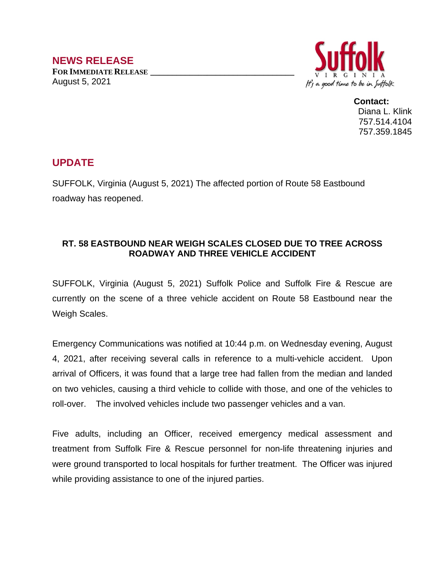

**Contact:** Diana L. Klink 757.514.4104 757.359.1845

## **UPDATE**

SUFFOLK, Virginia (August 5, 2021) The affected portion of Route 58 Eastbound roadway has reopened.

## **RT. 58 EASTBOUND NEAR WEIGH SCALES CLOSED DUE TO TREE ACROSS ROADWAY AND THREE VEHICLE ACCIDENT**

SUFFOLK, Virginia (August 5, 2021) Suffolk Police and Suffolk Fire & Rescue are currently on the scene of a three vehicle accident on Route 58 Eastbound near the Weigh Scales.

Emergency Communications was notified at 10:44 p.m. on Wednesday evening, August 4, 2021, after receiving several calls in reference to a multi-vehicle accident. Upon arrival of Officers, it was found that a large tree had fallen from the median and landed on two vehicles, causing a third vehicle to collide with those, and one of the vehicles to roll-over. The involved vehicles include two passenger vehicles and a van.

Five adults, including an Officer, received emergency medical assessment and treatment from Suffolk Fire & Rescue personnel for non-life threatening injuries and were ground transported to local hospitals for further treatment. The Officer was injured while providing assistance to one of the injured parties.